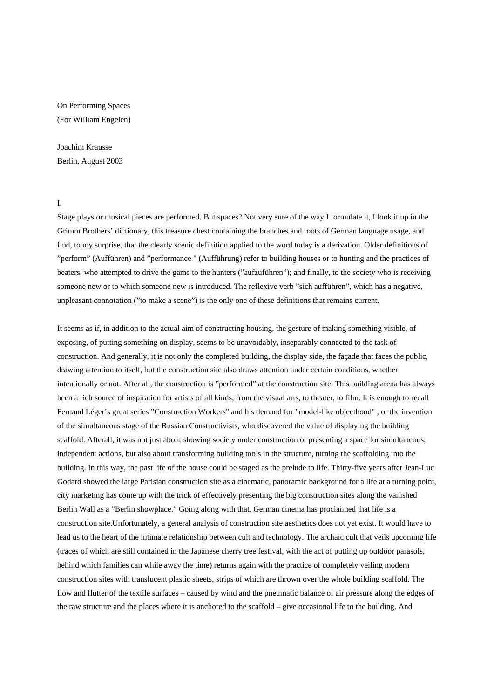On Performing Spaces (For William Engelen)

Joachim Krausse Berlin, August 2003

I.

Stage plays or musical pieces are performed. But spaces? Not very sure of the way I formulate it, I look it up in the Grimm Brothers' dictionary, this treasure chest containing the branches and roots of German language usage, and find, to my surprise, that the clearly scenic definition applied to the word today is a derivation. Older definitions of "perform" (Aufführen) and "performance " (Aufführung) refer to building houses or to hunting and the practices of beaters, who attempted to drive the game to the hunters ("aufzuführen"); and finally, to the society who is receiving someone new or to which someone new is introduced. The reflexive verb "sich aufführen", which has a negative, unpleasant connotation ("to make a scene") is the only one of these definitions that remains current.

It seems as if, in addition to the actual aim of constructing housing, the gesture of making something visible, of exposing, of putting something on display, seems to be unavoidably, inseparably connected to the task of construction. And generally, it is not only the completed building, the display side, the façade that faces the public, drawing attention to itself, but the construction site also draws attention under certain conditions, whether intentionally or not. After all, the construction is "performed" at the construction site. This building arena has always been a rich source of inspiration for artists of all kinds, from the visual arts, to theater, to film. It is enough to recall Fernand Léger's great series "Construction Workers" and his demand for "model-like objecthood" , or the invention of the simultaneous stage of the Russian Constructivists, who discovered the value of displaying the building scaffold. Afterall, it was not just about showing society under construction or presenting a space for simultaneous, independent actions, but also about transforming building tools in the structure, turning the scaffolding into the building. In this way, the past life of the house could be staged as the prelude to life. Thirty-five years after Jean-Luc Godard showed the large Parisian construction site as a cinematic, panoramic background for a life at a turning point, city marketing has come up with the trick of effectively presenting the big construction sites along the vanished Berlin Wall as a "Berlin showplace." Going along with that, German cinema has proclaimed that life is a construction site.Unfortunately, a general analysis of construction site aesthetics does not yet exist. It would have to lead us to the heart of the intimate relationship between cult and technology. The archaic cult that veils upcoming life (traces of which are still contained in the Japanese cherry tree festival, with the act of putting up outdoor parasols, behind which families can while away the time) returns again with the practice of completely veiling modern construction sites with translucent plastic sheets, strips of which are thrown over the whole building scaffold. The flow and flutter of the textile surfaces – caused by wind and the pneumatic balance of air pressure along the edges of the raw structure and the places where it is anchored to the scaffold – give occasional life to the building. And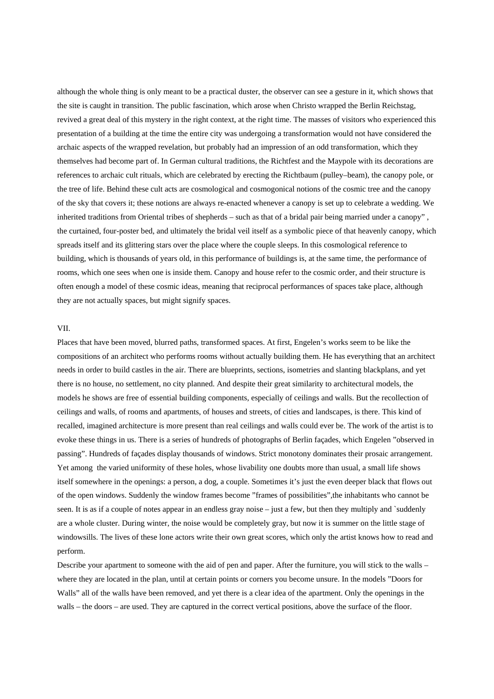although the whole thing is only meant to be a practical duster, the observer can see a gesture in it, which shows that the site is caught in transition. The public fascination, which arose when Christo wrapped the Berlin Reichstag, revived a great deal of this mystery in the right context, at the right time. The masses of visitors who experienced this presentation of a building at the time the entire city was undergoing a transformation would not have considered the archaic aspects of the wrapped revelation, but probably had an impression of an odd transformation, which they themselves had become part of. In German cultural traditions, the Richtfest and the Maypole with its decorations are references to archaic cult rituals, which are celebrated by erecting the Richtbaum (pulley–beam), the canopy pole, or the tree of life. Behind these cult acts are cosmological and cosmogonical notions of the cosmic tree and the canopy of the sky that covers it; these notions are always re-enacted whenever a canopy is set up to celebrate a wedding. We inherited traditions from Oriental tribes of shepherds – such as that of a bridal pair being married under a canopy" , the curtained, four-poster bed, and ultimately the bridal veil itself as a symbolic piece of that heavenly canopy, which spreads itself and its glittering stars over the place where the couple sleeps. In this cosmological reference to building, which is thousands of years old, in this performance of buildings is, at the same time, the performance of rooms, which one sees when one is inside them. Canopy and house refer to the cosmic order, and their structure is often enough a model of these cosmic ideas, meaning that reciprocal performances of spaces take place, although they are not actually spaces, but might signify spaces.

## VII.

Places that have been moved, blurred paths, transformed spaces. At first, Engelen's works seem to be like the compositions of an architect who performs rooms without actually building them. He has everything that an architect needs in order to build castles in the air. There are blueprints, sections, isometries and slanting blackplans, and yet there is no house, no settlement, no city planned. And despite their great similarity to architectural models, the models he shows are free of essential building components, especially of ceilings and walls. But the recollection of ceilings and walls, of rooms and apartments, of houses and streets, of cities and landscapes, is there. This kind of recalled, imagined architecture is more present than real ceilings and walls could ever be. The work of the artist is to evoke these things in us. There is a series of hundreds of photographs of Berlin façades, which Engelen "observed in passing". Hundreds of façades display thousands of windows. Strict monotony dominates their prosaic arrangement. Yet among the varied uniformity of these holes, whose livability one doubts more than usual, a small life shows itself somewhere in the openings: a person, a dog, a couple. Sometimes it's just the even deeper black that flows out of the open windows. Suddenly the window frames become "frames of possibilities",the inhabitants who cannot be seen. It is as if a couple of notes appear in an endless gray noise – just a few, but then they multiply and `suddenly are a whole cluster. During winter, the noise would be completely gray, but now it is summer on the little stage of windowsills. The lives of these lone actors write their own great scores, which only the artist knows how to read and perform.

Describe your apartment to someone with the aid of pen and paper. After the furniture, you will stick to the walls – where they are located in the plan, until at certain points or corners you become unsure. In the models "Doors for Walls" all of the walls have been removed, and yet there is a clear idea of the apartment. Only the openings in the walls – the doors – are used. They are captured in the correct vertical positions, above the surface of the floor.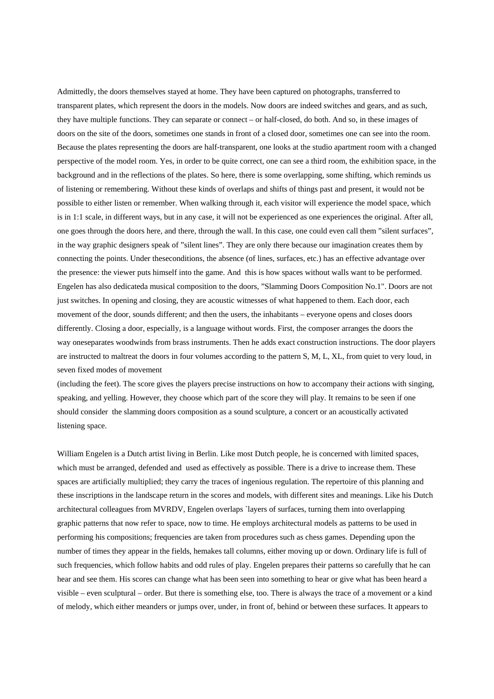Admittedly, the doors themselves stayed at home. They have been captured on photographs, transferred to transparent plates, which represent the doors in the models. Now doors are indeed switches and gears, and as such, they have multiple functions. They can separate or connect – or half-closed, do both. And so, in these images of doors on the site of the doors, sometimes one stands in front of a closed door, sometimes one can see into the room. Because the plates representing the doors are half-transparent, one looks at the studio apartment room with a changed perspective of the model room. Yes, in order to be quite correct, one can see a third room, the exhibition space, in the background and in the reflections of the plates. So here, there is some overlapping, some shifting, which reminds us of listening or remembering. Without these kinds of overlaps and shifts of things past and present, it would not be possible to either listen or remember. When walking through it, each visitor will experience the model space, which is in 1:1 scale, in different ways, but in any case, it will not be experienced as one experiences the original. After all, one goes through the doors here, and there, through the wall. In this case, one could even call them "silent surfaces", in the way graphic designers speak of "silent lines". They are only there because our imagination creates them by connecting the points. Under theseconditions, the absence (of lines, surfaces, etc.) has an effective advantage over the presence: the viewer puts himself into the game. And this is how spaces without walls want to be performed. Engelen has also dedicateda musical composition to the doors, "Slamming Doors Composition No.1". Doors are not just switches. In opening and closing, they are acoustic witnesses of what happened to them. Each door, each movement of the door, sounds different; and then the users, the inhabitants – everyone opens and closes doors differently. Closing a door, especially, is a language without words. First, the composer arranges the doors the way oneseparates woodwinds from brass instruments. Then he adds exact construction instructions. The door players are instructed to maltreat the doors in four volumes according to the pattern S, M, L, XL, from quiet to very loud, in seven fixed modes of movement

(including the feet). The score gives the players precise instructions on how to accompany their actions with singing, speaking, and yelling. However, they choose which part of the score they will play. It remains to be seen if one should consider the slamming doors composition as a sound sculpture, a concert or an acoustically activated listening space.

William Engelen is a Dutch artist living in Berlin. Like most Dutch people, he is concerned with limited spaces, which must be arranged, defended and used as effectively as possible. There is a drive to increase them. These spaces are artificially multiplied; they carry the traces of ingenious regulation. The repertoire of this planning and these inscriptions in the landscape return in the scores and models, with different sites and meanings. Like his Dutch architectural colleagues from MVRDV, Engelen overlaps `layers of surfaces, turning them into overlapping graphic patterns that now refer to space, now to time. He employs architectural models as patterns to be used in performing his compositions; frequencies are taken from procedures such as chess games. Depending upon the number of times they appear in the fields, hemakes tall columns, either moving up or down. Ordinary life is full of such frequencies, which follow habits and odd rules of play. Engelen prepares their patterns so carefully that he can hear and see them. His scores can change what has been seen into something to hear or give what has been heard a visible – even sculptural – order. But there is something else, too. There is always the trace of a movement or a kind of melody, which either meanders or jumps over, under, in front of, behind or between these surfaces. It appears to